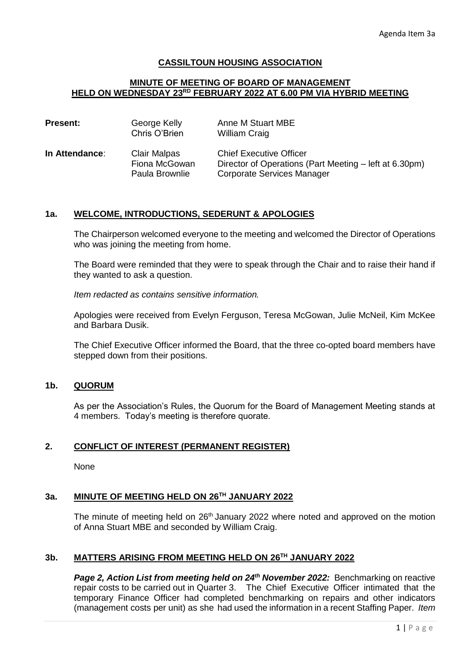# **CASSILTOUN HOUSING ASSOCIATION**

#### **MINUTE OF MEETING OF BOARD OF MANAGEMENT HELD ON WEDNESDAY 23RD FEBRUARY 2022 AT 6.00 PM VIA HYBRID MEETING**

| <b>Present:</b> | George Kelly<br>Chris O'Brien                          | Anne M Stuart MBE<br><b>William Craig</b>                                                                              |
|-----------------|--------------------------------------------------------|------------------------------------------------------------------------------------------------------------------------|
| In Attendance:  | <b>Clair Malpas</b><br>Fiona McGowan<br>Paula Brownlie | <b>Chief Executive Officer</b><br>Director of Operations (Part Meeting – left at 6.30pm)<br>Corporate Services Manager |

## **1a. WELCOME, INTRODUCTIONS, SEDERUNT & APOLOGIES**

The Chairperson welcomed everyone to the meeting and welcomed the Director of Operations who was joining the meeting from home.

The Board were reminded that they were to speak through the Chair and to raise their hand if they wanted to ask a question.

*Item redacted as contains sensitive information.* 

Apologies were received from Evelyn Ferguson, Teresa McGowan, Julie McNeil, Kim McKee and Barbara Dusik.

The Chief Executive Officer informed the Board, that the three co-opted board members have stepped down from their positions.

### **1b. QUORUM**

As per the Association's Rules, the Quorum for the Board of Management Meeting stands at 4 members. Today's meeting is therefore quorate.

### **2. CONFLICT OF INTEREST (PERMANENT REGISTER)**

None

# **3a. MINUTE OF MEETING HELD ON 26TH JANUARY 2022**

The minute of meeting held on  $26<sup>th</sup>$  January 2022 where noted and approved on the motion of Anna Stuart MBE and seconded by William Craig.

# **3b. MATTERS ARISING FROM MEETING HELD ON 26TH JANUARY 2022**

*Page 2, Action List from meeting held on 24th November 2022:* Benchmarking on reactive repair costs to be carried out in Quarter 3. The Chief Executive Officer intimated that the temporary Finance Officer had completed benchmarking on repairs and other indicators (management costs per unit) as she had used the information in a recent Staffing Paper. *Item*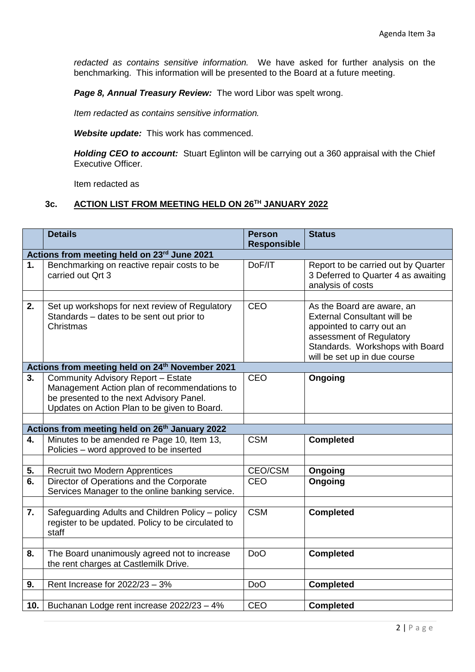*redacted as contains sensitive information.* We have asked for further analysis on the benchmarking. This information will be presented to the Board at a future meeting.

*Page 8, Annual Treasury Review:* The word Libor was spelt wrong.

*Item redacted as contains sensitive information.*

*Website update:* This work has commenced.

*Holding CEO to account:* Stuart Eglinton will be carrying out a 360 appraisal with the Chief Executive Officer.

Item redacted as

# **3c. ACTION LIST FROM MEETING HELD ON 26TH JANUARY 2022**

|                                                            | <b>Details</b>                                                                                                                                                                 | <b>Person</b><br><b>Responsible</b> | <b>Status</b>                                                                                                                                                                                |  |  |  |
|------------------------------------------------------------|--------------------------------------------------------------------------------------------------------------------------------------------------------------------------------|-------------------------------------|----------------------------------------------------------------------------------------------------------------------------------------------------------------------------------------------|--|--|--|
|                                                            | Actions from meeting held on 23rd June 2021                                                                                                                                    |                                     |                                                                                                                                                                                              |  |  |  |
| 1.                                                         | Benchmarking on reactive repair costs to be<br>carried out Qrt 3                                                                                                               | DoF/IT                              | Report to be carried out by Quarter<br>3 Deferred to Quarter 4 as awaiting<br>analysis of costs                                                                                              |  |  |  |
| 2.                                                         | Set up workshops for next review of Regulatory<br>Standards - dates to be sent out prior to<br>Christmas                                                                       | <b>CEO</b>                          | As the Board are aware, an<br><b>External Consultant will be</b><br>appointed to carry out an<br>assessment of Regulatory<br>Standards. Workshops with Board<br>will be set up in due course |  |  |  |
|                                                            | Actions from meeting held on 24th November 2021                                                                                                                                |                                     |                                                                                                                                                                                              |  |  |  |
| 3.                                                         | Community Advisory Report - Estate<br>Management Action plan of recommendations to<br>be presented to the next Advisory Panel.<br>Updates on Action Plan to be given to Board. | <b>CEO</b>                          | Ongoing                                                                                                                                                                                      |  |  |  |
|                                                            |                                                                                                                                                                                |                                     |                                                                                                                                                                                              |  |  |  |
| Actions from meeting held on 26 <sup>th</sup> January 2022 |                                                                                                                                                                                |                                     |                                                                                                                                                                                              |  |  |  |
| 4.                                                         | Minutes to be amended re Page 10, Item 13,<br>Policies – word approved to be inserted                                                                                          | <b>CSM</b>                          | <b>Completed</b>                                                                                                                                                                             |  |  |  |
|                                                            |                                                                                                                                                                                |                                     |                                                                                                                                                                                              |  |  |  |
| 5.                                                         | Recruit two Modern Apprentices                                                                                                                                                 | CEO/CSM                             | Ongoing                                                                                                                                                                                      |  |  |  |
| 6.                                                         | Director of Operations and the Corporate<br>Services Manager to the online banking service.                                                                                    | <b>CEO</b>                          | Ongoing                                                                                                                                                                                      |  |  |  |
|                                                            |                                                                                                                                                                                |                                     |                                                                                                                                                                                              |  |  |  |
| 7.                                                         | Safeguarding Adults and Children Policy - policy<br>register to be updated. Policy to be circulated to<br>staff                                                                | <b>CSM</b>                          | <b>Completed</b>                                                                                                                                                                             |  |  |  |
|                                                            |                                                                                                                                                                                |                                     |                                                                                                                                                                                              |  |  |  |
| 8.                                                         | The Board unanimously agreed not to increase<br>the rent charges at Castlemilk Drive.                                                                                          | D <sub>o</sub> O                    | <b>Completed</b>                                                                                                                                                                             |  |  |  |
|                                                            |                                                                                                                                                                                |                                     |                                                                                                                                                                                              |  |  |  |
| 9.                                                         | Rent Increase for 2022/23 - 3%                                                                                                                                                 | <b>DoO</b>                          | <b>Completed</b>                                                                                                                                                                             |  |  |  |
|                                                            |                                                                                                                                                                                |                                     |                                                                                                                                                                                              |  |  |  |
| 10.                                                        | Buchanan Lodge rent increase 2022/23 - 4%                                                                                                                                      | <b>CEO</b>                          | <b>Completed</b>                                                                                                                                                                             |  |  |  |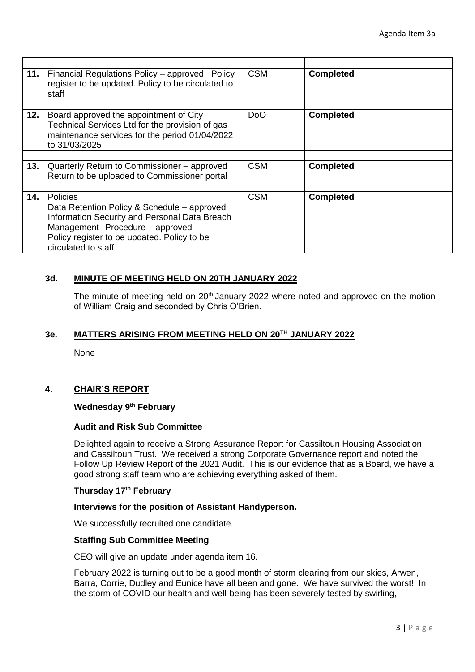| 11. | Financial Regulations Policy – approved. Policy<br>register to be updated. Policy to be circulated to<br>staff                                                                                                           | <b>CSM</b>       | <b>Completed</b> |
|-----|--------------------------------------------------------------------------------------------------------------------------------------------------------------------------------------------------------------------------|------------------|------------------|
|     |                                                                                                                                                                                                                          |                  |                  |
| 12. | Board approved the appointment of City<br>Technical Services Ltd for the provision of gas<br>maintenance services for the period 01/04/2022<br>to 31/03/2025                                                             | D <sub>o</sub> O | <b>Completed</b> |
|     |                                                                                                                                                                                                                          |                  |                  |
| 13. | Quarterly Return to Commissioner – approved<br>Return to be uploaded to Commissioner portal                                                                                                                              | <b>CSM</b>       | <b>Completed</b> |
|     |                                                                                                                                                                                                                          |                  |                  |
| 14. | <b>Policies</b><br>Data Retention Policy & Schedule – approved<br>Information Security and Personal Data Breach<br>Management Procedure - approved<br>Policy register to be updated. Policy to be<br>circulated to staff | <b>CSM</b>       | <b>Completed</b> |

# **3d**. **MINUTE OF MEETING HELD ON 20TH JANUARY 2022**

The minute of meeting held on  $20<sup>th</sup>$  January 2022 where noted and approved on the motion of William Craig and seconded by Chris O'Brien.

### **3e. MATTERS ARISING FROM MEETING HELD ON 20TH JANUARY 2022**

None

# **4. CHAIR'S REPORT**

## **Wednesday 9th February**

### **Audit and Risk Sub Committee**

Delighted again to receive a Strong Assurance Report for Cassiltoun Housing Association and Cassiltoun Trust. We received a strong Corporate Governance report and noted the Follow Up Review Report of the 2021 Audit. This is our evidence that as a Board, we have a good strong staff team who are achieving everything asked of them.

### **Thursday 17th February**

#### **Interviews for the position of Assistant Handyperson.**

We successfully recruited one candidate.

### **Staffing Sub Committee Meeting**

CEO will give an update under agenda item 16.

February 2022 is turning out to be a good month of storm clearing from our skies, Arwen, Barra, Corrie, Dudley and Eunice have all been and gone. We have survived the worst! In the storm of COVID our health and well-being has been severely tested by swirling,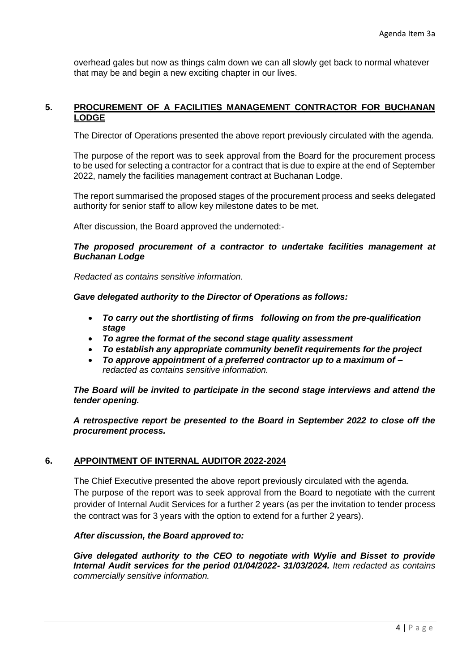overhead gales but now as things calm down we can all slowly get back to normal whatever that may be and begin a new exciting chapter in our lives.

# **5. PROCUREMENT OF A FACILITIES MANAGEMENT CONTRACTOR FOR BUCHANAN LODGE**

The Director of Operations presented the above report previously circulated with the agenda.

The purpose of the report was to seek approval from the Board for the procurement process to be used for selecting a contractor for a contract that is due to expire at the end of September 2022, namely the facilities management contract at Buchanan Lodge.

The report summarised the proposed stages of the procurement process and seeks delegated authority for senior staff to allow key milestone dates to be met.

After discussion, the Board approved the undernoted:-

## *The proposed procurement of a contractor to undertake facilities management at Buchanan Lodge*

*Redacted as contains sensitive information.*

*Gave delegated authority to the Director of Operations as follows:*

- *To carry out the shortlisting of firms following on from the pre-qualification stage*
- *To agree the format of the second stage quality assessment*
- *To establish any appropriate community benefit requirements for the project*
- *To approve appointment of a preferred contractor up to a maximum of – redacted as contains sensitive information.*

*The Board will be invited to participate in the second stage interviews and attend the tender opening.*

*A retrospective report be presented to the Board in September 2022 to close off the procurement process.*

# **6. APPOINTMENT OF INTERNAL AUDITOR 2022-2024**

The Chief Executive presented the above report previously circulated with the agenda. The purpose of the report was to seek approval from the Board to negotiate with the current provider of Internal Audit Services for a further 2 years (as per the invitation to tender process the contract was for 3 years with the option to extend for a further 2 years).

### *After discussion, the Board approved to:*

*Give delegated authority to the CEO to negotiate with Wylie and Bisset to provide Internal Audit services for the period 01/04/2022- 31/03/2024. Item redacted as contains commercially sensitive information.*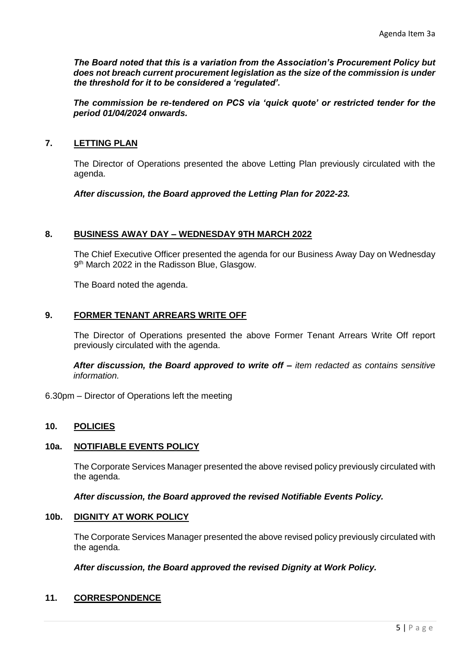*The Board noted that this is a variation from the Association's Procurement Policy but does not breach current procurement legislation as the size of the commission is under the threshold for it to be considered a 'regulated'.*

*The commission be re-tendered on PCS via 'quick quote' or restricted tender for the period 01/04/2024 onwards.*

# **7. LETTING PLAN**

The Director of Operations presented the above Letting Plan previously circulated with the agenda.

*After discussion, the Board approved the Letting Plan for 2022-23.*

### **8. BUSINESS AWAY DAY – WEDNESDAY 9TH MARCH 2022**

The Chief Executive Officer presented the agenda for our Business Away Day on Wednesday 9<sup>th</sup> March 2022 in the Radisson Blue, Glasgow.

The Board noted the agenda.

# **9. FORMER TENANT ARREARS WRITE OFF**

The Director of Operations presented the above Former Tenant Arrears Write Off report previously circulated with the agenda.

*After discussion, the Board approved to write off – item redacted as contains sensitive information.*

6.30pm – Director of Operations left the meeting

# **10. POLICIES**

### **10a. NOTIFIABLE EVENTS POLICY**

The Corporate Services Manager presented the above revised policy previously circulated with the agenda.

*After discussion, the Board approved the revised Notifiable Events Policy.*

### **10b. DIGNITY AT WORK POLICY**

The Corporate Services Manager presented the above revised policy previously circulated with the agenda.

### *After discussion, the Board approved the revised Dignity at Work Policy.*

# **11. CORRESPONDENCE**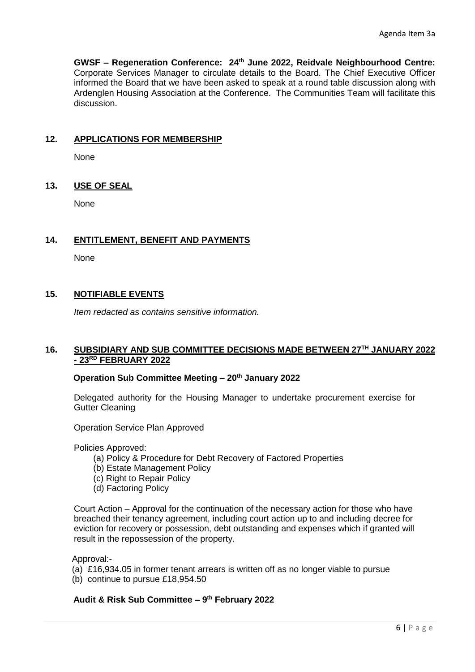**GWSF – Regeneration Conference: 24th June 2022, Reidvale Neighbourhood Centre:**  Corporate Services Manager to circulate details to the Board. The Chief Executive Officer informed the Board that we have been asked to speak at a round table discussion along with Ardenglen Housing Association at the Conference. The Communities Team will facilitate this discussion.

# **12. APPLICATIONS FOR MEMBERSHIP**

None

# **13. USE OF SEAL**

None

# **14. ENTITLEMENT, BENEFIT AND PAYMENTS**

None

# **15. NOTIFIABLE EVENTS**

*Item redacted as contains sensitive information.*

## **16. SUBSIDIARY AND SUB COMMITTEE DECISIONS MADE BETWEEN 27TH JANUARY 2022 - 23RD FEBRUARY 2022**

# **Operation Sub Committee Meeting – 20th January 2022**

Delegated authority for the Housing Manager to undertake procurement exercise for Gutter Cleaning

Operation Service Plan Approved

Policies Approved:

- (a) Policy & Procedure for Debt Recovery of Factored Properties
- (b) Estate Management Policy
- (c) Right to Repair Policy
- (d) Factoring Policy

Court Action – Approval for the continuation of the necessary action for those who have breached their tenancy agreement, including court action up to and including decree for eviction for recovery or possession, debt outstanding and expenses which if granted will result in the repossession of the property.

Approval:-

- (a) £16,934.05 in former tenant arrears is written off as no longer viable to pursue
- (b) continue to pursue £18,954.50

# **Audit & Risk Sub Committee – 9 th February 2022**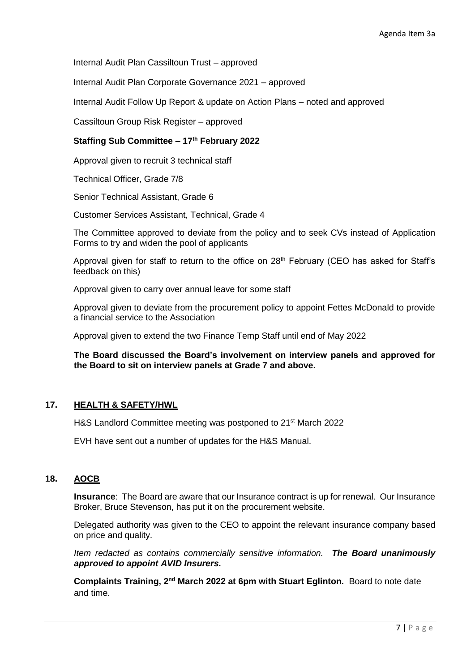Internal Audit Plan Cassiltoun Trust – approved

Internal Audit Plan Corporate Governance 2021 – approved

Internal Audit Follow Up Report & update on Action Plans – noted and approved

Cassiltoun Group Risk Register – approved

# **Staffing Sub Committee – 17th February 2022**

Approval given to recruit 3 technical staff

Technical Officer, Grade 7/8

Senior Technical Assistant, Grade 6

Customer Services Assistant, Technical, Grade 4

The Committee approved to deviate from the policy and to seek CVs instead of Application Forms to try and widen the pool of applicants

Approval given for staff to return to the office on  $28<sup>th</sup>$  February (CEO has asked for Staff's feedback on this)

Approval given to carry over annual leave for some staff

Approval given to deviate from the procurement policy to appoint Fettes McDonald to provide a financial service to the Association

Approval given to extend the two Finance Temp Staff until end of May 2022

**The Board discussed the Board's involvement on interview panels and approved for the Board to sit on interview panels at Grade 7 and above.**

# **17. HEALTH & SAFETY/HWL**

H&S Landlord Committee meeting was postponed to 21<sup>st</sup> March 2022

EVH have sent out a number of updates for the H&S Manual.

# **18. AOCB**

**Insurance**: The Board are aware that our Insurance contract is up for renewal. Our Insurance Broker, Bruce Stevenson, has put it on the procurement website.

Delegated authority was given to the CEO to appoint the relevant insurance company based on price and quality.

*Item redacted as contains commercially sensitive information. The Board unanimously approved to appoint AVID Insurers.*

**Complaints Training, 2nd March 2022 at 6pm with Stuart Eglinton.** Board to note date and time.